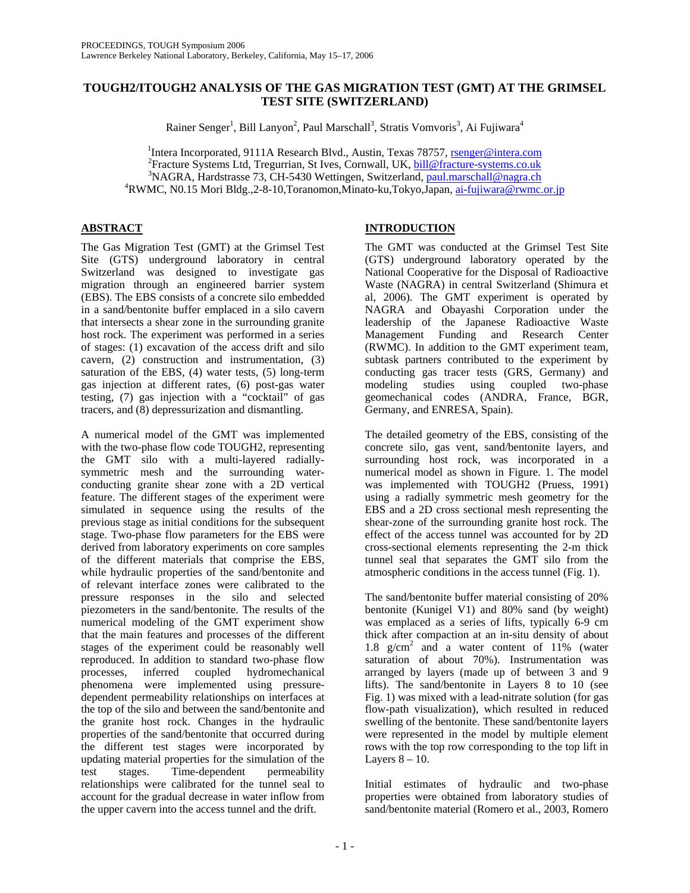# **TOUGH2/ITOUGH2 ANALYSIS OF THE GAS MIGRATION TEST (GMT) AT THE GRIMSEL TEST SITE (SWITZERLAND)**

Rainer Senger<sup>1</sup>, Bill Lanyon<sup>2</sup>, Paul Marschall<sup>3</sup>, Stratis Vomvoris<sup>3</sup>, Ai Fujiwara<sup>4</sup>

<sup>1</sup>Intera Incorporated, 9111A Research Blvd., Austin, Texas 78757, <u>rsenger@intera.com</u><br><sup>2</sup>Erecture Systems Ltd. Tregurrien, St Luce, Corputell, LIK, bill@frecture.gystems.co.uk Fracture Systems Ltd, Tregurrian, St Ives, Cornwall, UK, bill@fracture-systems.co.uk <sup>3</sup> <sup>3</sup>NAGRA, Hardstrasse 73, CH-5430 Wettingen, Switzerland, paul.marschall@nagra.ch <sup>4</sup>RWMC, N0.15 Mori Bldg., 2-8-10, Toranomon, Minato-ku, Tokyo, Japan, ai-fujiwara@rwmc.or.jp

# **ABSTRACT**

The Gas Migration Test (GMT) at the Grimsel Test Site (GTS) underground laboratory in central Switzerland was designed to investigate gas migration through an engineered barrier system (EBS). The EBS consists of a concrete silo embedded in a sand/bentonite buffer emplaced in a silo cavern that intersects a shear zone in the surrounding granite host rock. The experiment was performed in a series of stages: (1) excavation of the access drift and silo cavern, (2) construction and instrumentation, (3) saturation of the EBS, (4) water tests, (5) long-term gas injection at different rates, (6) post-gas water testing, (7) gas injection with a "cocktail" of gas tracers, and (8) depressurization and dismantling.

A numerical model of the GMT was implemented with the two-phase flow code TOUGH2, representing the GMT silo with a multi-layered radiallysymmetric mesh and the surrounding waterconducting granite shear zone with a 2D vertical feature. The different stages of the experiment were simulated in sequence using the results of the previous stage as initial conditions for the subsequent stage. Two-phase flow parameters for the EBS were derived from laboratory experiments on core samples of the different materials that comprise the EBS, while hydraulic properties of the sand/bentonite and of relevant interface zones were calibrated to the pressure responses in the silo and selected piezometers in the sand/bentonite. The results of the numerical modeling of the GMT experiment show that the main features and processes of the different stages of the experiment could be reasonably well reproduced. In addition to standard two-phase flow processes, inferred coupled hydromechanical phenomena were implemented using pressuredependent permeability relationships on interfaces at the top of the silo and between the sand/bentonite and the granite host rock. Changes in the hydraulic properties of the sand/bentonite that occurred during the different test stages were incorporated by updating material properties for the simulation of the test stages. Time-dependent permeability relationships were calibrated for the tunnel seal to account for the gradual decrease in water inflow from the upper cavern into the access tunnel and the drift.

# **INTRODUCTION**

The GMT was conducted at the Grimsel Test Site (GTS) underground laboratory operated by the National Cooperative for the Disposal of Radioactive Waste (NAGRA) in central Switzerland (Shimura et al, 2006). The GMT experiment is operated by NAGRA and Obayashi Corporation under the leadership of the Japanese Radioactive Waste Management Funding and Research Center (RWMC). In addition to the GMT experiment team, subtask partners contributed to the experiment by conducting gas tracer tests (GRS, Germany) and modeling studies using coupled two-phase geomechanical codes (ANDRA, France, BGR, Germany, and ENRESA, Spain).

The detailed geometry of the EBS, consisting of the concrete silo, gas vent, sand/bentonite layers, and surrounding host rock, was incorporated in a numerical model as shown in Figure. 1. The model was implemented with TOUGH2 (Pruess, 1991) using a radially symmetric mesh geometry for the EBS and a 2D cross sectional mesh representing the shear-zone of the surrounding granite host rock. The effect of the access tunnel was accounted for by 2D cross-sectional elements representing the 2-m thick tunnel seal that separates the GMT silo from the atmospheric conditions in the access tunnel (Fig. 1).

The sand/bentonite buffer material consisting of 20% bentonite (Kunigel V1) and 80% sand (by weight) was emplaced as a series of lifts, typically 6-9 cm thick after compaction at an in-situ density of about 1.8  $g/cm<sup>2</sup>$  and a water content of 11% (water saturation of about 70%). Instrumentation was arranged by layers (made up of between 3 and 9 lifts). The sand/bentonite in Layers 8 to 10 (see Fig. 1) was mixed with a lead-nitrate solution (for gas flow-path visualization), which resulted in reduced swelling of the bentonite. These sand/bentonite layers were represented in the model by multiple element rows with the top row corresponding to the top lift in Layers  $8 - 10$ .

Initial estimates of hydraulic and two-phase properties were obtained from laboratory studies of sand/bentonite material (Romero et al., 2003, Romero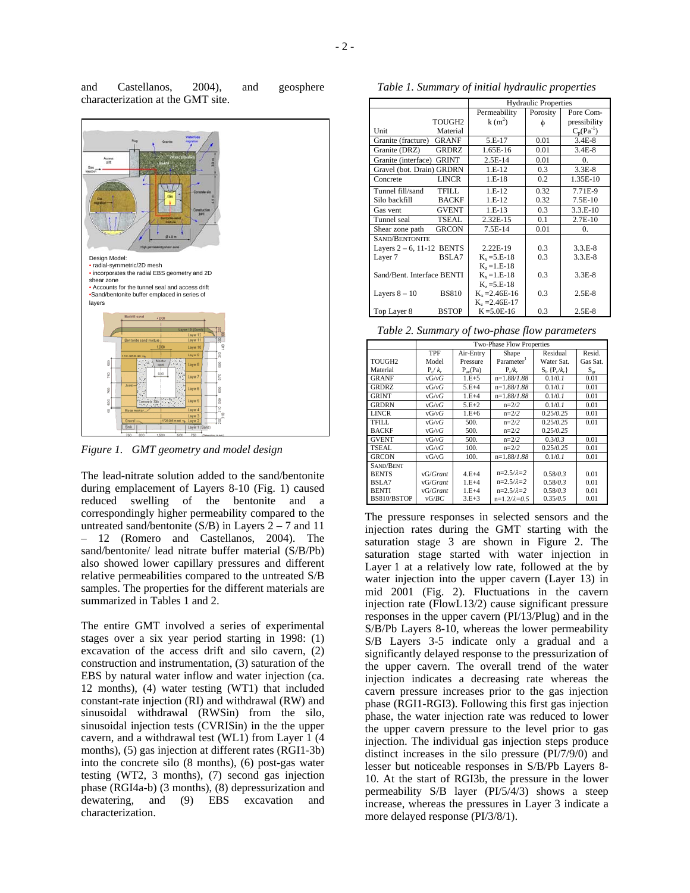| and | Castellanos,                      | 2004), | and | geosphere |
|-----|-----------------------------------|--------|-----|-----------|
|     | characterization at the GMT site. |        |     |           |



*Figure 1. GMT geometry and model design* 

The lead-nitrate solution added to the sand/bentonite during emplacement of Layers 8-10 (Fig. 1) caused reduced swelling of the bentonite and a correspondingly higher permeability compared to the untreated sand/bentonite (S/B) in Layers  $2 - 7$  and 11 – 12 (Romero and Castellanos, 2004). The sand/bentonite/ lead nitrate buffer material (S/B/Pb) also showed lower capillary pressures and different relative permeabilities compared to the untreated S/B samples. The properties for the different materials are summarized in Tables 1 and 2.

The entire GMT involved a series of experimental stages over a six year period starting in 1998: (1) excavation of the access drift and silo cavern, (2) construction and instrumentation, (3) saturation of the EBS by natural water inflow and water injection (ca. 12 months), (4) water testing (WT1) that included constant-rate injection (RI) and withdrawal (RW) and sinusoidal withdrawal (RWSin) from the silo, sinusoidal injection tests (CVRISin) in the the upper cavern, and a withdrawal test (WL1) from Layer 1 (4 months), (5) gas injection at different rates (RGI1-3b) into the concrete silo (8 months), (6) post-gas water testing (WT2, 3 months), (7) second gas injection phase (RGI4a-b) (3 months), (8) depressurization and dewatering, and (9) EBS excavation and characterization.

*Table 1. Summary of initial hydraulic properties* 

|                              |                    | <b>Hydraulic Properties</b> |          |                |  |  |  |
|------------------------------|--------------------|-----------------------------|----------|----------------|--|--|--|
|                              |                    | Permeability                | Porosity | Pore Com-      |  |  |  |
|                              | TOUGH <sub>2</sub> | $k(m^2)$                    | Ф        | pressibility   |  |  |  |
| Unit                         | Material           |                             |          | $C_n(Pa^{-1})$ |  |  |  |
| Granite (fracture)           | <b>GRANF</b>       | 5.E-17                      | 0.01     | $3.4E-8$       |  |  |  |
| Granite (DRZ)                | <b>GRDRZ</b>       | 1.65E-16                    | 0.01     | $3.4E-8$       |  |  |  |
| Granite (interface)          | <b>GRINT</b>       | $2.5E-14$                   | 0.01     | 0              |  |  |  |
| Gravel (bot. Drain) GRDRN    |                    | $1.E-12$                    | 0.3      | $3.3E-8$       |  |  |  |
| Concrete                     | <b>LINCR</b>       | $1.E-18$                    | 0.2      | 1.35E-10       |  |  |  |
| Tunnel fill/sand             | TFILL.             | $1.E-12$                    | 0.32     | 7.71E-9        |  |  |  |
| Silo backfill                | <b>BACKF</b>       | $1.E-12$                    | 0.32     | $7.5E-10$      |  |  |  |
| Gas vent                     | <b>GVENT</b>       | $1.E-13$                    | 0.3      | $3.3.E-10$     |  |  |  |
| Tunnel seal                  | TSEAL.             | 2.32E-15                    | 0.1      | $2.7E-10$      |  |  |  |
| Shear zone path              | <b>GRCON</b>       | $7.5E-14$                   | 0.01     | 0.             |  |  |  |
|                              | SAND/BENTONITE     |                             |          |                |  |  |  |
| Layers $2 - 6$ , 11-12 BENTS |                    | 2.22E-19                    | 0.3      | $3.3.E-8$      |  |  |  |
| Layer 7                      | BSLA7              | $K_{x} = 5.E-18$            | 0.3      | $3.3.E-8$      |  |  |  |
|                              |                    | $K_{2} = 1.E-18$            |          |                |  |  |  |
| Sand/Bent. Interface BENTI   |                    | $K_{x} = 1.E-18$            | 0.3      | $3.3E-8$       |  |  |  |
|                              |                    | $K_z = 5.E-18$              |          |                |  |  |  |
| Layers $8 - 10$              | <b>BS810</b>       | $K_v = 2.46E - 16$          | 0.3      | $2.5E-8$       |  |  |  |
|                              |                    | $K_{2} = 2.46E-17$          |          |                |  |  |  |
| Top Layer 8                  | <b>BSTOP</b>       | $K = 5.0E - 16$             | 0.3      | $2.5E-8$       |  |  |  |

*Table 2. Summary of two-phase flow parameters* 

|                    | Two-Phase Flow Properties |              |                        |                        |                  |  |  |
|--------------------|---------------------------|--------------|------------------------|------------------------|------------------|--|--|
|                    | <b>TPF</b>                | Air-Entry    | Shape                  | Residual               | Resid.           |  |  |
| TOUGH <sub>2</sub> | Model                     | Pressure     | Parameter <sup>1</sup> | Water Sat.             | Gas Sat.         |  |  |
| Material           | $P_c/k_r$                 | $P_{ac}(Pa)$ | $P_c/k_r$              | $S_{1r} \{P_{c}/k_r\}$ | $S_{\text{err}}$ |  |  |
| GRANF              | vG/vG                     | $1.E + 5$    | $n=1.88/1.88$          | 0.1/0.1                | 0.01             |  |  |
| <b>GRDRZ</b>       | vG/vG                     | $5.E+4$      | $n=1.88/1.88$          | 0.1/0.1                | 0.01             |  |  |
| <b>GRINT</b>       | vG/vG                     | $1.E+4$      | $n=1.88/1.88$          | 0.1/0.1                | 0.01             |  |  |
| <b>GRDRN</b>       | vG/vG                     | $5.F + 2$    | $n=2/2$                | 0.1/0.1                | 0.01             |  |  |
| <b>LINCR</b>       | vG/vG                     | $1.E+6$      | $n=2/2$                | 0.25/0.25              | 0.01             |  |  |
| TFILL.             | vG/vG                     | 500.         | $n=2/2$                | 0.25/0.25              | 0.01             |  |  |
| <b>BACKF</b>       | vG/vG                     | 500.         | $n=2/2$                | 0.25/0.25              |                  |  |  |
| <b>GVENT</b>       | vG/vG                     | 500.         | $n=2/2$                | 0.3/0.3                | 0.01             |  |  |
| TSEAL              | vG/vG                     | 100.         | $n=2/2$                | 0.25/0.25              | 0.01             |  |  |
| <b>GRCON</b>       | vG/vG                     | 100.         | $n=1.88/1.88$          | 0.1/0.1                | 0.01             |  |  |
| SAND/BENT          |                           |              |                        |                        |                  |  |  |
| <b>BENTS</b>       | vG/Grant                  | $4.F + 4$    | $n=2.5/\lambda=2$      | 0.58/0.3               | 0.01             |  |  |
| BSLA7              | vG/Grant                  | $1.E+4$      | $n=2.5/\lambda=2$      | 0.58/0.3               | 0.01             |  |  |
| <b>BENTI</b>       | vG/Grant                  | $1.F + 4$    | $n=2.5/\lambda=2$      | 0.58/0.3               | 0.01             |  |  |
| BS810/BSTOP        | vG/BC                     | $3.E + 3$    | $n=1.2/\lambda=0.5$    | 0.35/0.5               | 0.01             |  |  |

The pressure responses in selected sensors and the injection rates during the GMT starting with the saturation stage 3 are shown in Figure 2. The saturation stage started with water injection in Layer 1 at a relatively low rate, followed at the by water injection into the upper cavern (Layer 13) in mid 2001 (Fig. 2). Fluctuations in the cavern injection rate (FlowL13/2) cause significant pressure responses in the upper cavern (PI/13/Plug) and in the S/B/Pb Layers 8-10, whereas the lower permeability S/B Layers 3-5 indicate only a gradual and a significantly delayed response to the pressurization of the upper cavern. The overall trend of the water injection indicates a decreasing rate whereas the cavern pressure increases prior to the gas injection phase (RGI1-RGI3). Following this first gas injection phase, the water injection rate was reduced to lower the upper cavern pressure to the level prior to gas injection. The individual gas injection steps produce distinct increases in the silo pressure (PI/7/9/0) and lesser but noticeable responses in S/B/Pb Layers 8- 10. At the start of RGI3b, the pressure in the lower permeability S/B layer (PI/5/4/3) shows a steep increase, whereas the pressures in Layer 3 indicate a more delayed response (PI/3/8/1).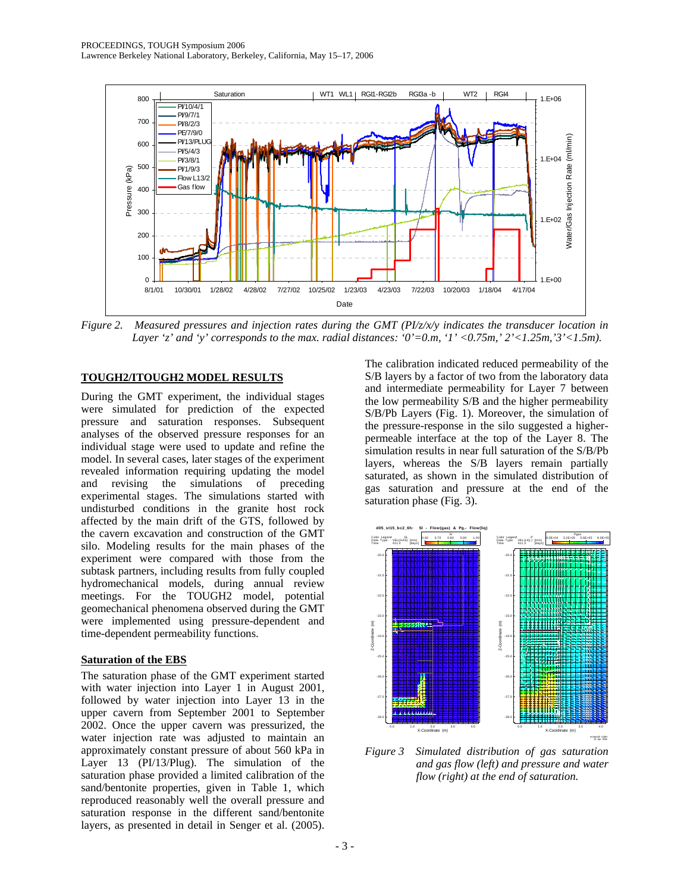

*Figure 2. Measured pressures and injection rates during the GMT (PI/z/x/y indicates the transducer location in Layer 'z' and 'y' corresponds to the max. radial distances: '0'=0.m, '1' <0.75m,' 2'<1.25m,'3'<1.5m).* 

### **TOUGH2/ITOUGH2 MODEL RESULTS**

During the GMT experiment, the individual stages were simulated for prediction of the expected pressure and saturation responses. Subsequent analyses of the observed pressure responses for an individual stage were used to update and refine the model. In several cases, later stages of the experiment revealed information requiring updating the model and revising the simulations of preceding experimental stages. The simulations started with undisturbed conditions in the granite host rock affected by the main drift of the GTS, followed by the cavern excavation and construction of the GMT silo. Modeling results for the main phases of the experiment were compared with those from the subtask partners, including results from fully coupled hydromechanical models, during annual review meetings. For the TOUGH2 model, potential geomechanical phenomena observed during the GMT were implemented using pressure-dependent and time-dependent permeability functions.

#### **Saturation of the EBS**

The saturation phase of the GMT experiment started with water injection into Layer 1 in August 2001, followed by water injection into Layer 13 in the upper cavern from September 2001 to September 2002. Once the upper cavern was pressurized, the water injection rate was adjusted to maintain an approximately constant pressure of about 560 kPa in Layer 13 (PI/13/Plug). The simulation of the saturation phase provided a limited calibration of the sand/bentonite properties, given in Table 1, which reproduced reasonably well the overall pressure and saturation response in the different sand/bentonite layers, as presented in detail in Senger et al. (2005).

The calibration indicated reduced permeability of the S/B layers by a factor of two from the laboratory data and intermediate permeability for Layer 7 between the low permeability S/B and the higher permeability S/B/Pb Layers (Fig. 1). Moreover, the simulation of the pressure-response in the silo suggested a higherpermeable interface at the top of the Layer 8. The simulation results in near full saturation of the S/B/Pb layers, whereas the S/B layers remain partially saturated, as shown in the simulated distribution of gas saturation and pressure at the end of the saturation phase (Fig. 3).



*Figure 3 Simulated distribution of gas saturation and gas flow (left) and pressure and water flow (right) at the end of saturation.*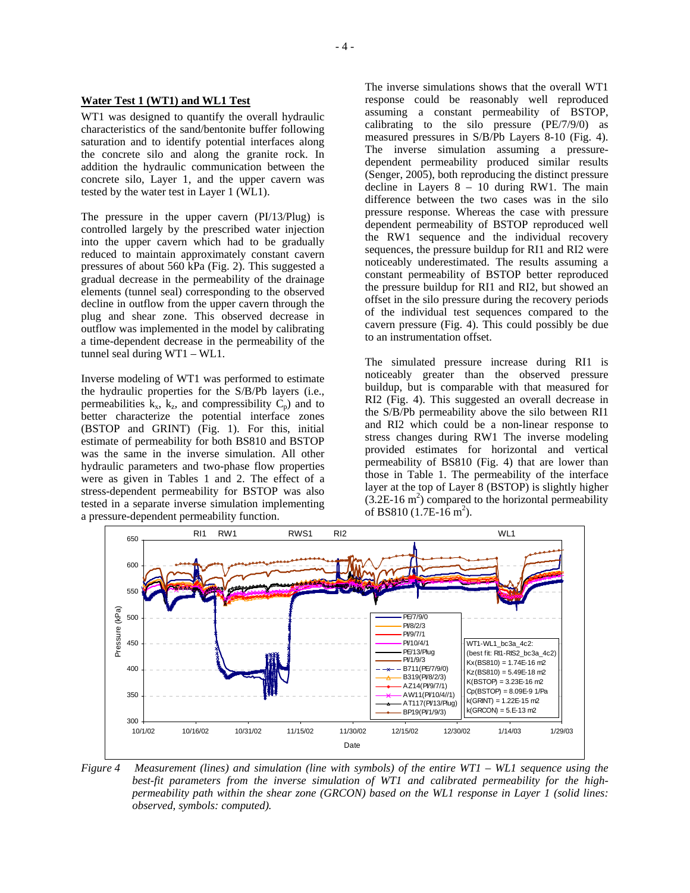#### **Water Test 1 (WT1) and WL1 Test**

WT1 was designed to quantify the overall hydraulic characteristics of the sand/bentonite buffer following saturation and to identify potential interfaces along the concrete silo and along the granite rock. In addition the hydraulic communication between the concrete silo, Layer 1, and the upper cavern was tested by the water test in Layer 1 (WL1).

The pressure in the upper cavern (PI/13/Plug) is controlled largely by the prescribed water injection into the upper cavern which had to be gradually reduced to maintain approximately constant cavern pressures of about 560 kPa (Fig. 2). This suggested a gradual decrease in the permeability of the drainage elements (tunnel seal) corresponding to the observed decline in outflow from the upper cavern through the plug and shear zone. This observed decrease in outflow was implemented in the model by calibrating a time-dependent decrease in the permeability of the tunnel seal during WT1 – WL1.

Inverse modeling of WT1 was performed to estimate the hydraulic properties for the S/B/Pb layers (i.e., permeabilities  $k_x$ ,  $k_z$ , and compressibility  $C_p$ ) and to better characterize the potential interface zones (BSTOP and GRINT) (Fig. 1). For this, initial estimate of permeability for both BS810 and BSTOP was the same in the inverse simulation. All other hydraulic parameters and two-phase flow properties were as given in Tables 1 and 2. The effect of a stress-dependent permeability for BSTOP was also tested in a separate inverse simulation implementing a pressure-dependent permeability function.

The inverse simulations shows that the overall WT1 response could be reasonably well reproduced assuming a constant permeability of BSTOP, calibrating to the silo pressure (PE/7/9/0) as measured pressures in S/B/Pb Layers 8-10 (Fig. 4). The inverse simulation assuming a pressuredependent permeability produced similar results (Senger, 2005), both reproducing the distinct pressure decline in Layers 8 – 10 during RW1. The main difference between the two cases was in the silo pressure response. Whereas the case with pressure dependent permeability of BSTOP reproduced well the RW1 sequence and the individual recovery sequences, the pressure buildup for RI1 and RI2 were noticeably underestimated. The results assuming a constant permeability of BSTOP better reproduced the pressure buildup for RI1 and RI2, but showed an offset in the silo pressure during the recovery periods of the individual test sequences compared to the cavern pressure (Fig. 4). This could possibly be due to an instrumentation offset.

The simulated pressure increase during RI1 is noticeably greater than the observed pressure buildup, but is comparable with that measured for RI2 (Fig. 4). This suggested an overall decrease in the S/B/Pb permeability above the silo between RI1 and RI2 which could be a non-linear response to stress changes during RW1 The inverse modeling provided estimates for horizontal and vertical permeability of BS810 (Fig. 4) that are lower than those in Table 1. The permeability of the interface layer at the top of Layer 8 (BSTOP) is slightly higher  $(3.2E-16 \text{ m}^2)$  compared to the horizontal permeability of BS810  $(1.7E-16 \text{ m}^2)$ .



*Figure 4 Measurement (lines) and simulation (line with symbols) of the entire WT1 – WL1 sequence using the best-fit parameters from the inverse simulation of WT1 and calibrated permeability for the highpermeability path within the shear zone (GRCON) based on the WL1 response in Layer 1 (solid lines: observed, symbols: computed).*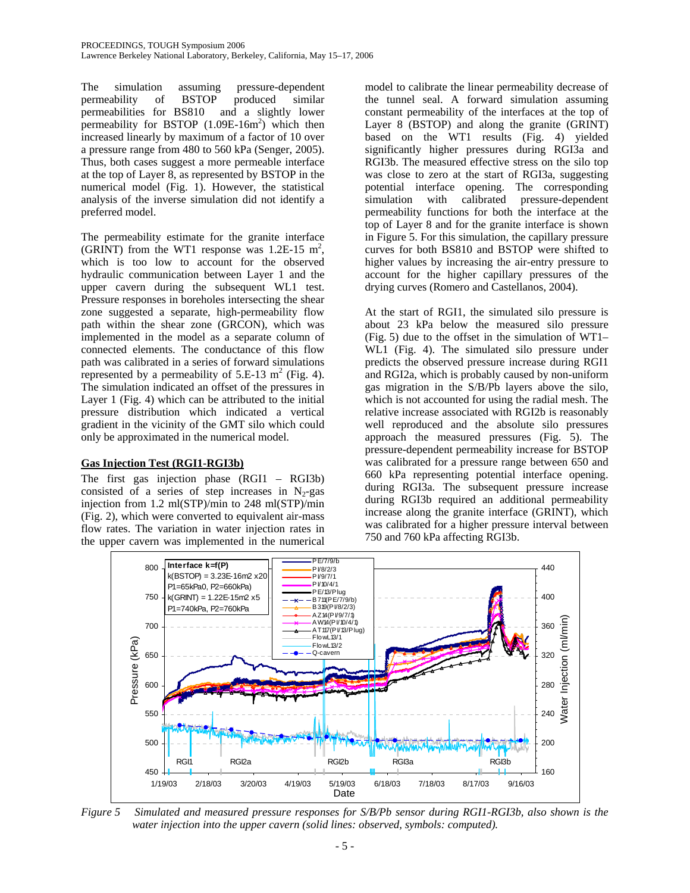The simulation assuming pressure-dependent permeability of BSTOP produced similar permeabilities for BS810 and a slightly lower permeability for BSTOP  $(1.09E-16m^2)$  which then increased linearly by maximum of a factor of 10 over a pressure range from 480 to 560 kPa (Senger, 2005). Thus, both cases suggest a more permeable interface at the top of Layer 8, as represented by BSTOP in the numerical model (Fig. 1). However, the statistical analysis of the inverse simulation did not identify a preferred model.

The permeability estimate for the granite interface (GRINT) from the WT1 response was  $1.2E-15$  m<sup>2</sup>, which is too low to account for the observed hydraulic communication between Layer 1 and the upper cavern during the subsequent WL1 test. Pressure responses in boreholes intersecting the shear zone suggested a separate, high-permeability flow path within the shear zone (GRCON), which was implemented in the model as a separate column of connected elements. The conductance of this flow path was calibrated in a series of forward simulations represented by a permeability of  $5.E-13 \text{ m}^2$  (Fig. 4). The simulation indicated an offset of the pressures in Layer 1 (Fig. 4) which can be attributed to the initial pressure distribution which indicated a vertical gradient in the vicinity of the GMT silo which could only be approximated in the numerical model.

### **Gas Injection Test (RGI1-RGI3b)**

The first gas injection phase (RGI1 – RGI3b) consisted of a series of step increases in  $N_2$ -gas injection from 1.2 ml(STP)/min to 248 ml(STP)/min (Fig. 2), which were converted to equivalent air-mass flow rates. The variation in water injection rates in the upper cavern was implemented in the numerical

model to calibrate the linear permeability decrease of the tunnel seal. A forward simulation assuming constant permeability of the interfaces at the top of Layer 8 (BSTOP) and along the granite (GRINT) based on the WT1 results (Fig. 4) yielded significantly higher pressures during RGI3a and RGI3b. The measured effective stress on the silo top was close to zero at the start of RGI3a, suggesting potential interface opening. The corresponding simulation with calibrated pressure-dependent permeability functions for both the interface at the top of Layer 8 and for the granite interface is shown in Figure 5. For this simulation, the capillary pressure curves for both BS810 and BSTOP were shifted to higher values by increasing the air-entry pressure to account for the higher capillary pressures of the drying curves (Romero and Castellanos, 2004).

At the start of RGI1, the simulated silo pressure is about 23 kPa below the measured silo pressure (Fig. 5) due to the offset in the simulation of WT1– WL1 (Fig. 4). The simulated silo pressure under predicts the observed pressure increase during RGI1 and RGI2a, which is probably caused by non-uniform gas migration in the S/B/Pb layers above the silo, which is not accounted for using the radial mesh. The relative increase associated with RGI2b is reasonably well reproduced and the absolute silo pressures approach the measured pressures (Fig. 5). The pressure-dependent permeability increase for BSTOP was calibrated for a pressure range between 650 and 660 kPa representing potential interface opening. during RGI3a. The subsequent pressure increase during RGI3b required an additional permeability increase along the granite interface (GRINT), which was calibrated for a higher pressure interval between 750 and 760 kPa affecting RGI3b.



*Figure 5 Simulated and measured pressure responses for S/B/Pb sensor during RGI1-RGI3b, also shown is the water injection into the upper cavern (solid lines: observed, symbols: computed).*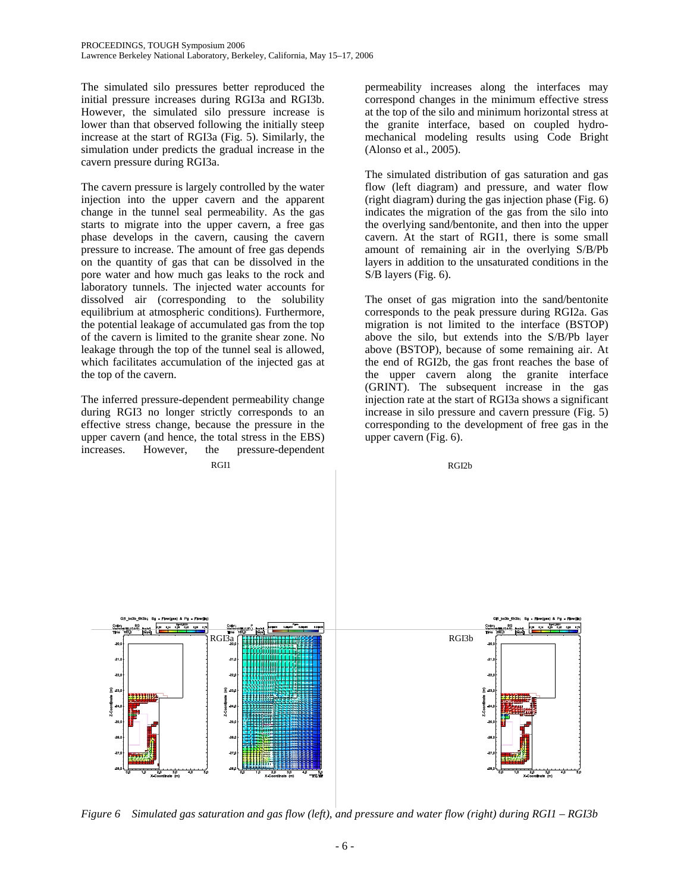The simulated silo pressures better reproduced the initial pressure increases during RGI3a and RGI3b. However, the simulated silo pressure increase is lower than that observed following the initially steep increase at the start of RGI3a (Fig. 5). Similarly, the simulation under predicts the gradual increase in the cavern pressure during RGI3a.

The cavern pressure is largely controlled by the water injection into the upper cavern and the apparent change in the tunnel seal permeability. As the gas starts to migrate into the upper cavern, a free gas phase develops in the cavern, causing the cavern pressure to increase. The amount of free gas depends on the quantity of gas that can be dissolved in the pore water and how much gas leaks to the rock and laboratory tunnels. The injected water accounts for dissolved air (corresponding to the solubility equilibrium at atmospheric conditions). Furthermore, the potential leakage of accumulated gas from the top of the cavern is limited to the granite shear zone. No leakage through the top of the tunnel seal is allowed, which facilitates accumulation of the injected gas at the top of the cavern.

The inferred pressure-dependent permeability change during RGI3 no longer strictly corresponds to an effective stress change, because the pressure in the upper cavern (and hence, the total stress in the EBS) increases. However, the pressure-dependent RGI1 RGI2b

permeability increases along the interfaces may correspond changes in the minimum effective stress at the top of the silo and minimum horizontal stress at the granite interface, based on coupled hydromechanical modeling results using Code Bright (Alonso et al., 2005).

The simulated distribution of gas saturation and gas flow (left diagram) and pressure, and water flow (right diagram) during the gas injection phase (Fig. 6) indicates the migration of the gas from the silo into the overlying sand/bentonite, and then into the upper cavern. At the start of RGI1, there is some small amount of remaining air in the overlying S/B/Pb layers in addition to the unsaturated conditions in the S/B layers (Fig. 6).

The onset of gas migration into the sand/bentonite corresponds to the peak pressure during RGI2a. Gas migration is not limited to the interface (BSTOP) above the silo, but extends into the S/B/Pb layer above (BSTOP), because of some remaining air. At the end of RGI2b, the gas front reaches the base of the upper cavern along the granite interface (GRINT). The subsequent increase in the gas injection rate at the start of RGI3a shows a significant increase in silo pressure and cavern pressure (Fig. 5) corresponding to the development of free gas in the upper cavern (Fig. 6).



*Figure 6 Simulated gas saturation and gas flow (left), and pressure and water flow (right) during RGI1 – RGI3b*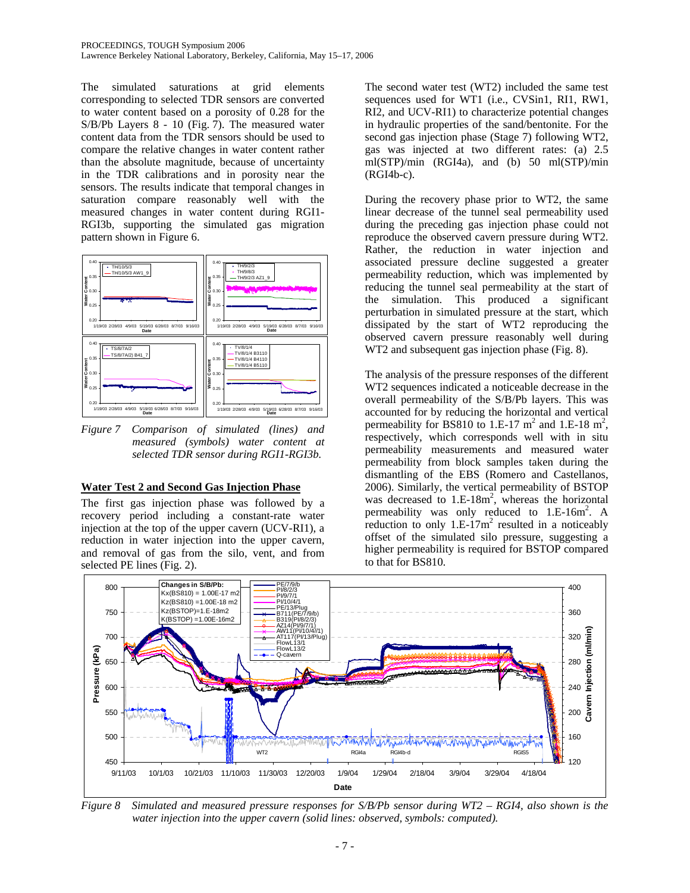The simulated saturations at grid elements corresponding to selected TDR sensors are converted to water content based on a porosity of 0.28 for the S/B/Pb Layers 8 - 10 (Fig. 7). The measured water content data from the TDR sensors should be used to compare the relative changes in water content rather than the absolute magnitude, because of uncertainty in the TDR calibrations and in porosity near the sensors. The results indicate that temporal changes in saturation compare reasonably well with the measured changes in water content during RGI1- RGI3b, supporting the simulated gas migration pattern shown in Figure 6.



*Figure 7 Comparison of simulated (lines) and measured (symbols) water content at selected TDR sensor during RGI1-RGI3b.* 

### **Water Test 2 and Second Gas Injection Phase**

The first gas injection phase was followed by a recovery period including a constant-rate water injection at the top of the upper cavern (UCV-RI1), a reduction in water injection into the upper cavern, and removal of gas from the silo, vent, and from selected PE lines (Fig. 2).

The second water test (WT2) included the same test sequences used for WT1 (i.e., CVSin1, RI1, RW1, RI2, and UCV-RI1) to characterize potential changes in hydraulic properties of the sand/bentonite. For the second gas injection phase (Stage 7) following WT2, gas was injected at two different rates: (a) 2.5 ml(STP)/min (RGI4a), and (b) 50 ml(STP)/min (RGI4b-c).

During the recovery phase prior to WT2, the same linear decrease of the tunnel seal permeability used during the preceding gas injection phase could not reproduce the observed cavern pressure during WT2. Rather, the reduction in water injection and associated pressure decline suggested a greater permeability reduction, which was implemented by reducing the tunnel seal permeability at the start of the simulation. This produced a significant perturbation in simulated pressure at the start, which dissipated by the start of WT2 reproducing the observed cavern pressure reasonably well during WT2 and subsequent gas injection phase (Fig. 8).

The analysis of the pressure responses of the different WT2 sequences indicated a noticeable decrease in the overall permeability of the S/B/Pb layers. This was accounted for by reducing the horizontal and vertical permeability for BS810 to 1.E-17  $m^2$  and 1.E-18  $m^2$ , respectively, which corresponds well with in situ permeability measurements and measured water permeability from block samples taken during the dismantling of the EBS (Romero and Castellanos, 2006). Similarly, the vertical permeability of BSTOP was decreased to  $1.E-18m^2$ , whereas the horizontal permeability was only reduced to  $1.E-16m^2$ . A reduction to only  $1.E-17m^2$  resulted in a noticeably offset of the simulated silo pressure, suggesting a higher permeability is required for BSTOP compared to that for BS810.



*Figure 8 Simulated and measured pressure responses for S/B/Pb sensor during WT2 – RGI4, also shown is the water injection into the upper cavern (solid lines: observed, symbols: computed).*